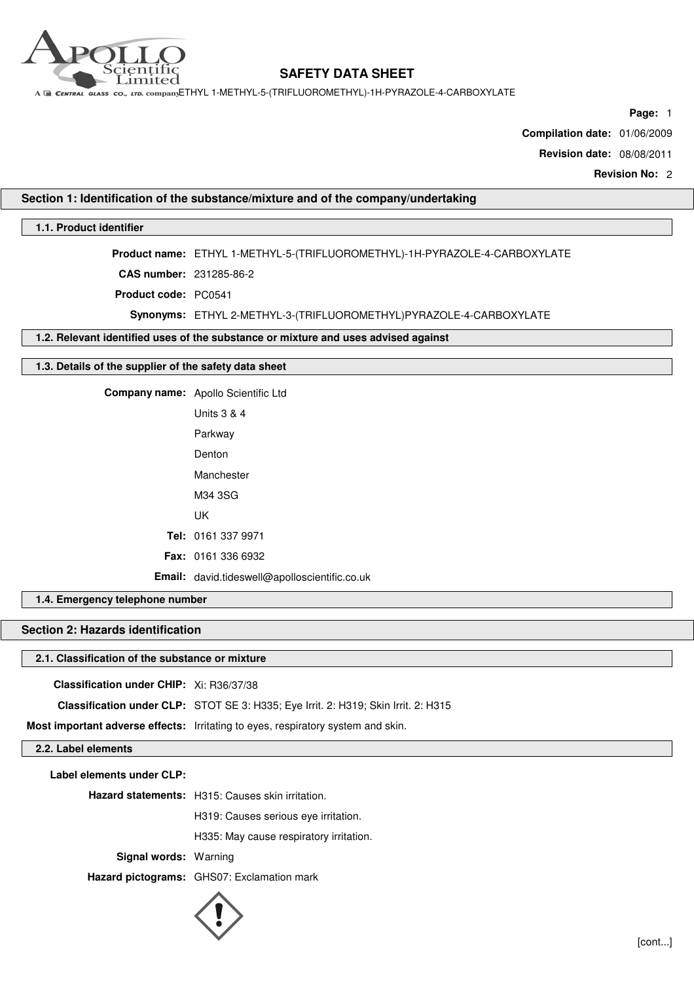

A E CENTRAL GLASS CO., LTD. COMPANYETHYL 1-METHYL-5-(TRIFLUOROMETHYL)-1H-PYRAZOLE-4-CARBOXYLATE

**Page:** 1

**Compilation date:** 01/06/2009

**Revision date:** 08/08/2011

**Revision No:** 2

## **Section 1: Identification of the substance/mixture and of the company/undertaking**

## **1.1. Product identifier**

**Product name:** ETHYL 1-METHYL-5-(TRIFLUOROMETHYL)-1H-PYRAZOLE-4-CARBOXYLATE

**CAS number:** 231285-86-2

**Product code:** PC0541

**Synonyms:** ETHYL 2-METHYL-3-(TRIFLUOROMETHYL)PYRAZOLE-4-CARBOXYLATE

**1.2. Relevant identified uses of the substance or mixture and uses advised against**

### **1.3. Details of the supplier of the safety data sheet**

**Company name:** Apollo Scientific Ltd Units 3 & 4 Parkway Denton Manchester M34 3SG

UK

**Tel:** 0161 337 9971

**Fax:** 0161 336 6932

**Email:** david.tideswell@apolloscientific.co.uk

**1.4. Emergency telephone number**

## **Section 2: Hazards identification**

## **2.1. Classification of the substance or mixture**

**Classification under CHIP:** Xi: R36/37/38

**Classification under CLP:** STOT SE 3: H335; Eye Irrit. 2: H319; Skin Irrit. 2: H315

**Most important adverse effects:** Irritating to eyes, respiratory system and skin.

**2.2. Label elements**

**Label elements under CLP:**

**Hazard statements:** H315: Causes skin irritation.

H319: Causes serious eye irritation.

H335: May cause respiratory irritation.

**Signal words:** Warning

**Hazard pictograms:** GHS07: Exclamation mark

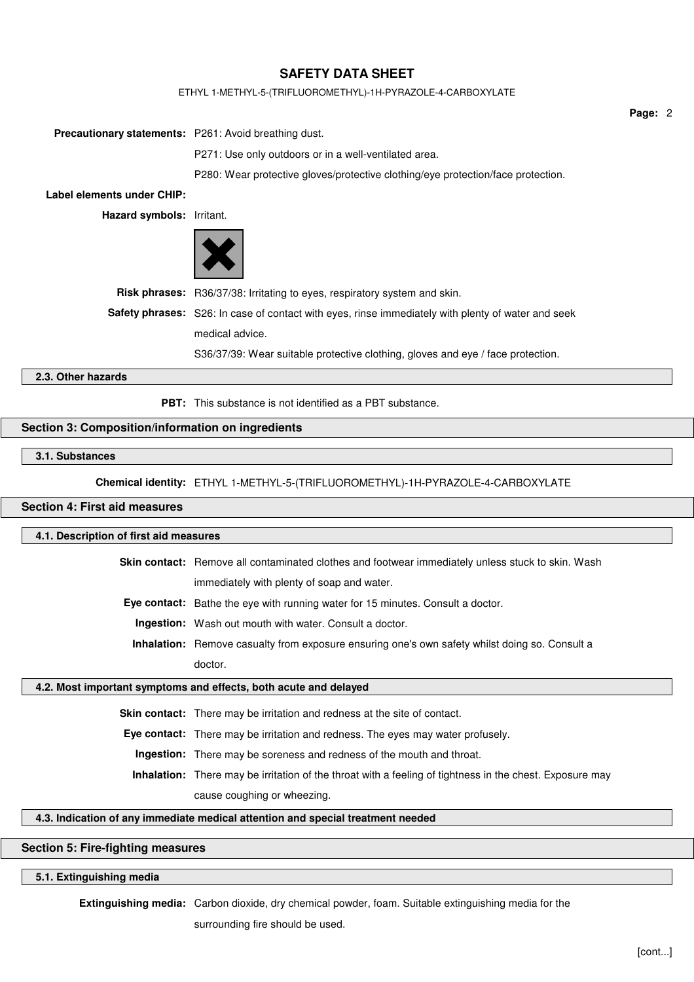#### ETHYL 1-METHYL-5-(TRIFLUOROMETHYL)-1H-PYRAZOLE-4-CARBOXYLATE

**Precautionary statements:** P261: Avoid breathing dust.

P271: Use only outdoors or in a well-ventilated area.

P280: Wear protective gloves/protective clothing/eye protection/face protection.

**Label elements under CHIP:**

**Hazard symbols:** Irritant.



**Risk phrases:** R36/37/38: Irritating to eyes, respiratory system and skin.

**Safety phrases:** S26: In case of contact with eyes, rinse immediately with plenty of water and seek medical advice.

S36/37/39: Wear suitable protective clothing, gloves and eye / face protection.

## **2.3. Other hazards**

**PBT:** This substance is not identified as a PBT substance.

### **Section 3: Composition/information on ingredients**

## **3.1. Substances**

**Chemical identity:** ETHYL 1-METHYL-5-(TRIFLUOROMETHYL)-1H-PYRAZOLE-4-CARBOXYLATE

#### **Section 4: First aid measures**

#### **4.1. Description of first aid measures**

**Skin contact:** Remove all contaminated clothes and footwear immediately unless stuck to skin. Wash

immediately with plenty of soap and water.

**Eye contact:** Bathe the eye with running water for 15 minutes. Consult a doctor.

**Ingestion:** Wash out mouth with water. Consult a doctor.

**Inhalation:** Remove casualty from exposure ensuring one's own safety whilst doing so. Consult a doctor.

#### **4.2. Most important symptoms and effects, both acute and delayed**

**Skin contact:** There may be irritation and redness at the site of contact.

**Eye contact:** There may be irritation and redness. The eyes may water profusely.

**Ingestion:** There may be soreness and redness of the mouth and throat.

**Inhalation:** There may be irritation of the throat with a feeling of tightness in the chest. Exposure may

cause coughing or wheezing.

## **4.3. Indication of any immediate medical attention and special treatment needed**

## **Section 5: Fire-fighting measures**

## **5.1. Extinguishing media**

**Extinguishing media:** Carbon dioxide, dry chemical powder, foam. Suitable extinguishing media for the surrounding fire should be used.

**Page:** 2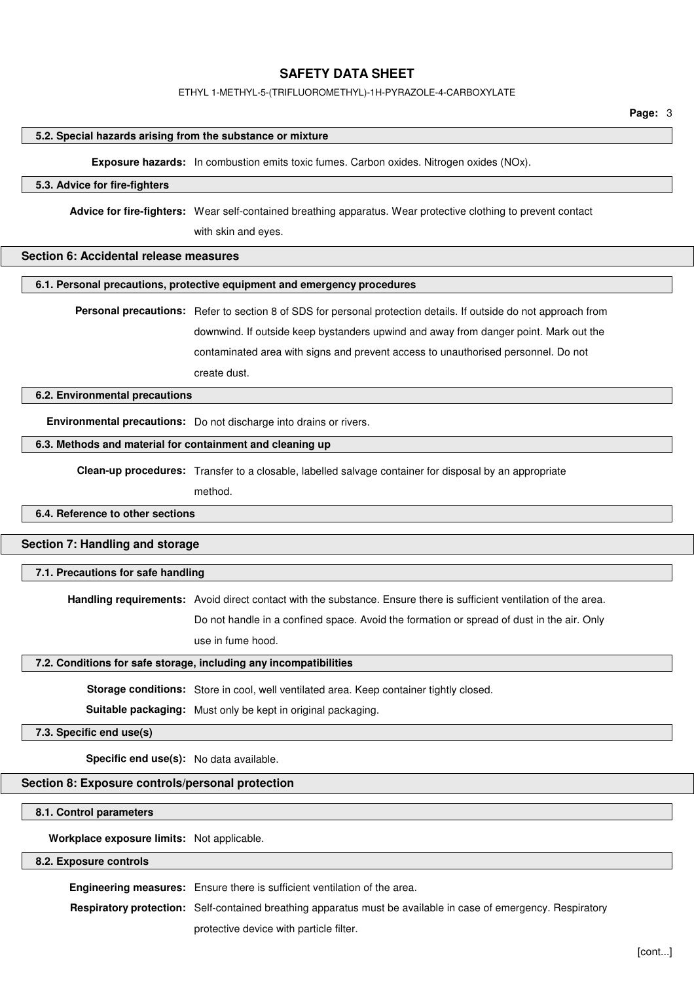#### ETHYL 1-METHYL-5-(TRIFLUOROMETHYL)-1H-PYRAZOLE-4-CARBOXYLATE

#### **5.2. Special hazards arising from the substance or mixture**

**Exposure hazards:** In combustion emits toxic fumes. Carbon oxides. Nitrogen oxides (NOx).

### **5.3. Advice for fire-fighters**

**Advice for fire-fighters:** Wear self-contained breathing apparatus. Wear protective clothing to prevent contact

with skin and eyes.

#### **Section 6: Accidental release measures**

#### **6.1. Personal precautions, protective equipment and emergency procedures**

**Personal precautions:** Refer to section 8 of SDS for personal protection details. If outside do not approach from downwind. If outside keep bystanders upwind and away from danger point. Mark out the contaminated area with signs and prevent access to unauthorised personnel. Do not create dust.

#### **6.2. Environmental precautions**

**Environmental precautions:** Do not discharge into drains or rivers.

#### **6.3. Methods and material for containment and cleaning up**

**Clean-up procedures:** Transfer to a closable, labelled salvage container for disposal by an appropriate

method.

#### **6.4. Reference to other sections**

## **Section 7: Handling and storage**

#### **7.1. Precautions for safe handling**

**Handling requirements:** Avoid direct contact with the substance. Ensure there is sufficient ventilation of the area.

Do not handle in a confined space. Avoid the formation or spread of dust in the air. Only

use in fume hood.

#### **7.2. Conditions for safe storage, including any incompatibilities**

**Storage conditions:** Store in cool, well ventilated area. Keep container tightly closed.

**Suitable packaging:** Must only be kept in original packaging.

#### **7.3. Specific end use(s)**

**Specific end use(s):** No data available.

## **Section 8: Exposure controls/personal protection**

#### **8.1. Control parameters**

**Workplace exposure limits:** Not applicable.

## **8.2. Exposure controls**

**Engineering measures:** Ensure there is sufficient ventilation of the area.

**Respiratory protection:** Self-contained breathing apparatus must be available in case of emergency. Respiratory

protective device with particle filter.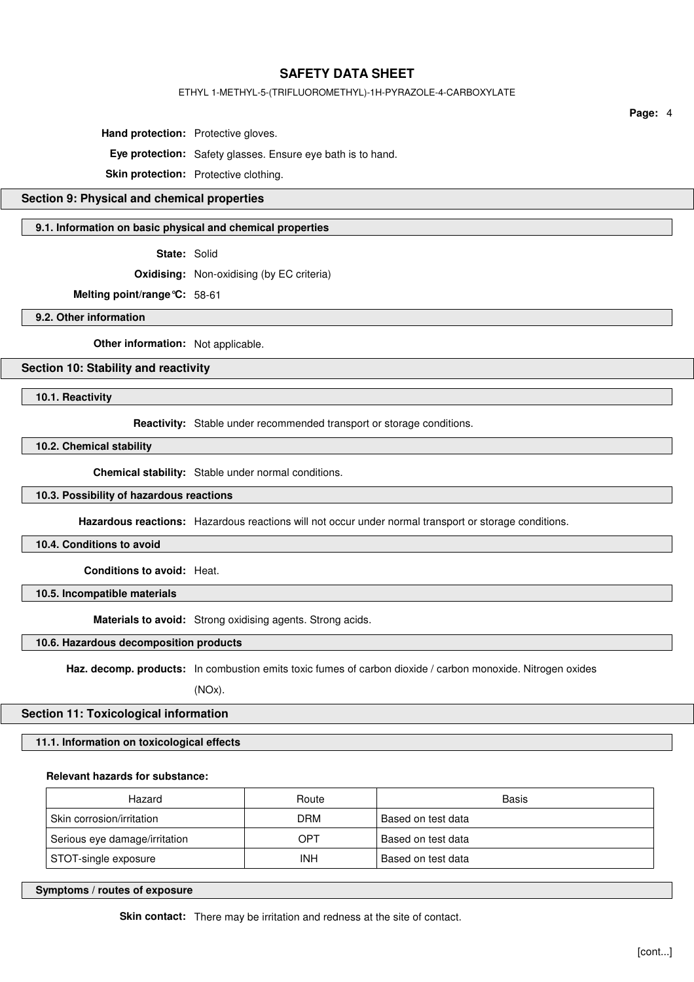#### ETHYL 1-METHYL-5-(TRIFLUOROMETHYL)-1H-PYRAZOLE-4-CARBOXYLATE

**Hand protection:** Protective gloves.

**Eye protection:** Safety glasses. Ensure eye bath is to hand.

**Skin protection:** Protective clothing.

## **Section 9: Physical and chemical properties**

#### **9.1. Information on basic physical and chemical properties**

**State:** Solid

**Oxidising:** Non-oxidising (by EC criteria)

**Melting point/range°C:** 58-61

**9.2. Other information**

**Other information:** Not applicable.

## **Section 10: Stability and reactivity**

**10.1. Reactivity**

**Reactivity:** Stable under recommended transport or storage conditions.

**10.2. Chemical stability**

**Chemical stability:** Stable under normal conditions.

#### **10.3. Possibility of hazardous reactions**

**Hazardous reactions:** Hazardous reactions will not occur under normal transport or storage conditions.

**10.4. Conditions to avoid**

**Conditions to avoid:** Heat.

**10.5. Incompatible materials**

**Materials to avoid:** Strong oxidising agents. Strong acids.

## **10.6. Hazardous decomposition products**

**Haz. decomp. products:** In combustion emits toxic fumes of carbon dioxide / carbon monoxide. Nitrogen oxides

(NOx).

## **Section 11: Toxicological information**

**11.1. Information on toxicological effects**

## **Relevant hazards for substance:**

| Hazard                        | Route      | Basis              |
|-------------------------------|------------|--------------------|
| Skin corrosion/irritation     | <b>DRM</b> | Based on test data |
| Serious eye damage/irritation | OPT        | Based on test data |
| STOT-single exposure          | INH        | Based on test data |

**Symptoms / routes of exposure**

**Page:** 4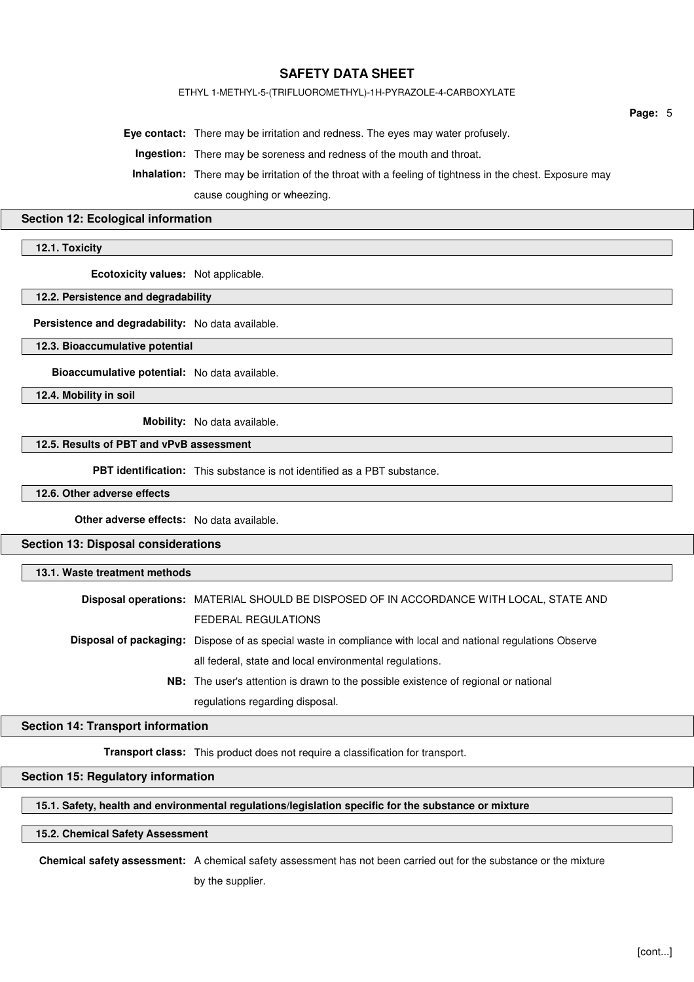#### ETHYL 1-METHYL-5-(TRIFLUOROMETHYL)-1H-PYRAZOLE-4-CARBOXYLATE

**Eye contact:** There may be irritation and redness. The eyes may water profusely.

**Ingestion:** There may be soreness and redness of the mouth and throat.

**Inhalation:** There may be irritation of the throat with a feeling of tightness in the chest. Exposure may cause coughing or wheezing.

#### **Section 12: Ecological information**

**12.1. Toxicity**

**Ecotoxicity values:** Not applicable.

#### **12.2. Persistence and degradability**

**Persistence and degradability:** No data available.

**12.3. Bioaccumulative potential**

**Bioaccumulative potential:** No data available.

**12.4. Mobility in soil**

**Mobility:** No data available.

## **12.5. Results of PBT and vPvB assessment**

**PBT identification:** This substance is not identified as a PBT substance.

**12.6. Other adverse effects**

**Other adverse effects:** No data available.

**Section 13: Disposal considerations**

## **13.1. Waste treatment methods**

**Disposal operations:** MATERIAL SHOULD BE DISPOSED OF IN ACCORDANCE WITH LOCAL, STATE AND FEDERAL REGULATIONS

**Disposal of packaging:** Dispose of as special waste in compliance with local and national regulations Observe all federal, state and local environmental regulations.

> **NB:** The user's attention is drawn to the possible existence of regional or national regulations regarding disposal.

#### **Section 14: Transport information**

**Transport class:** This product does not require a classification for transport.

## **Section 15: Regulatory information**

**15.1. Safety, health and environmental regulations/legislation specific for the substance or mixture**

### **15.2. Chemical Safety Assessment**

**Chemical safety assessment:** A chemical safety assessment has not been carried out for the substance or the mixture by the supplier.